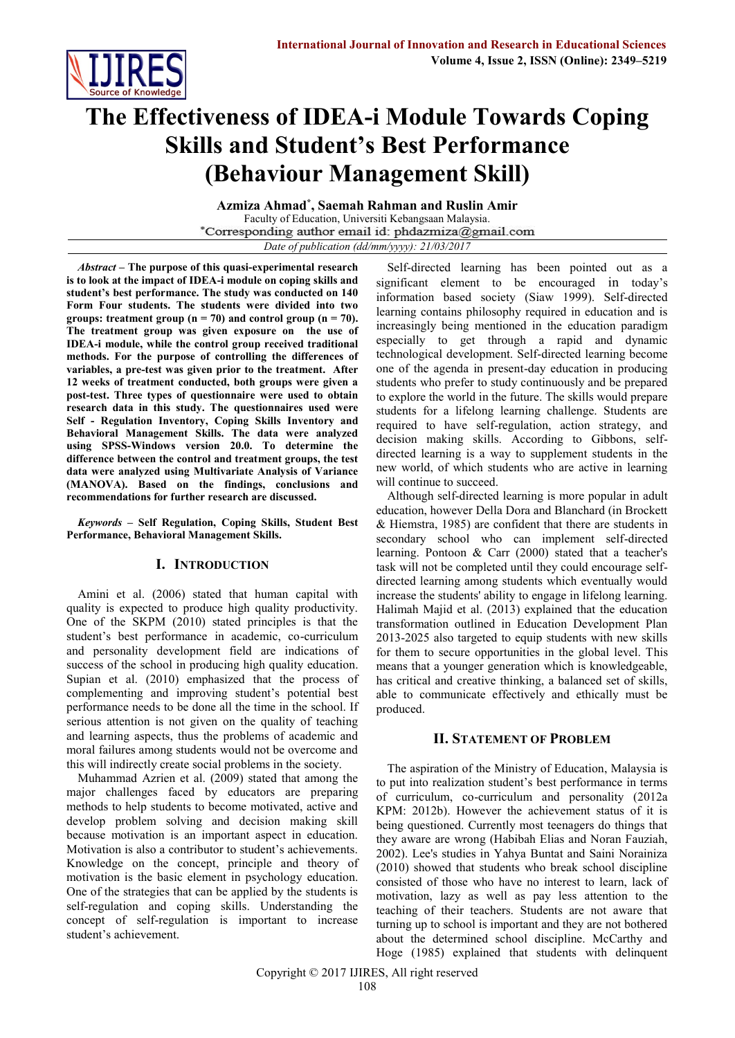

# **The Effectiveness of IDEA-i Module Towards Coping Skills and Student's Best Performance (Behaviour Management Skill)**

**Azmiza Ahmad\* , Saemah Rahman and Ruslin Amir** Faculty of Education, Universiti Kebangsaan Malaysia.<br>\*Corresponding author email id: phdazmiza@gmail.com *Date of publication (dd/mm/yyyy): 21/03/2017*

*Abstract* **– The purpose of this quasi-experimental research is to look at the impact of IDEA-i module on coping skills and student's best performance. The study was conducted on 140 Form Four students. The students were divided into two groups:** treatment group  $(n = 70)$  and control group  $(n = 70)$ . **The treatment group was given exposure on the use of IDEA-i module, while the control group received traditional methods. For the purpose of controlling the differences of variables, a pre-test was given prior to the treatment. After 12 weeks of treatment conducted, both groups were given a post-test. Three types of questionnaire were used to obtain research data in this study. The questionnaires used were Self - Regulation Inventory, Coping Skills Inventory and Behavioral Management Skills. The data were analyzed using SPSS-Windows version 20.0. To determine the difference between the control and treatment groups, the test data were analyzed using Multivariate Analysis of Variance (MANOVA). Based on the findings, conclusions and recommendations for further research are discussed.**

*Keywords* **– Self Regulation, Coping Skills, Student Best Performance, Behavioral Management Skills.**

# **I. INTRODUCTION**

Amini et al. (2006) stated that human capital with quality is expected to produce high quality productivity. One of the SKPM (2010) stated principles is that the student's best performance in academic, co-curriculum and personality development field are indications of success of the school in producing high quality education. Supian et al. (2010) emphasized that the process of complementing and improving student's potential best performance needs to be done all the time in the school. If serious attention is not given on the quality of teaching and learning aspects, thus the problems of academic and moral failures among students would not be overcome and this will indirectly create social problems in the society.

Muhammad Azrien et al. (2009) stated that among the major challenges faced by educators are preparing methods to help students to become motivated, active and develop problem solving and decision making skill because motivation is an important aspect in education. Motivation is also a contributor to student's achievements. Knowledge on the concept, principle and theory of motivation is the basic element in psychology education. One of the strategies that can be applied by the students is self-regulation and coping skills. Understanding the concept of self-regulation is important to increase student's achievement.

Self-directed learning has been pointed out as a significant element to be encouraged in today's information based society (Siaw 1999). Self-directed learning contains philosophy required in education and is increasingly being mentioned in the education paradigm especially to get through a rapid and dynamic technological development. Self-directed learning become one of the agenda in present-day education in producing students who prefer to study continuously and be prepared to explore the world in the future. The skills would prepare students for a lifelong learning challenge. Students are required to have self-regulation, action strategy, and decision making skills. According to Gibbons, selfdirected learning is a way to supplement students in the new world, of which students who are active in learning will continue to succeed.

Although self-directed learning is more popular in adult education, however Della Dora and Blanchard (in Brockett & Hiemstra, 1985) are confident that there are students in secondary school who can implement self-directed learning. Pontoon & Carr (2000) stated that a teacher's task will not be completed until they could encourage selfdirected learning among students which eventually would increase the students' ability to engage in lifelong learning. Halimah Majid et al. (2013) explained that the education transformation outlined in Education Development Plan 2013-2025 also targeted to equip students with new skills for them to secure opportunities in the global level. This means that a younger generation which is knowledgeable, has critical and creative thinking, a balanced set of skills, able to communicate effectively and ethically must be produced.

# **II. STATEMENT OF PROBLEM**

The aspiration of the Ministry of Education, Malaysia is to put into realization student's best performance in terms of curriculum, co-curriculum and personality (2012a KPM: 2012b). However the achievement status of it is being questioned. Currently most teenagers do things that they aware are wrong (Habibah Elias and Noran Fauziah, 2002). Lee's studies in Yahya Buntat and Saini Norainiza (2010) showed that students who break school discipline consisted of those who have no interest to learn, lack of motivation, lazy as well as pay less attention to the teaching of their teachers. Students are not aware that turning up to school is important and they are not bothered about the determined school discipline. McCarthy and Hoge (1985) explained that students with delinquent

Copyright © 2017 IJIRES, All right reserved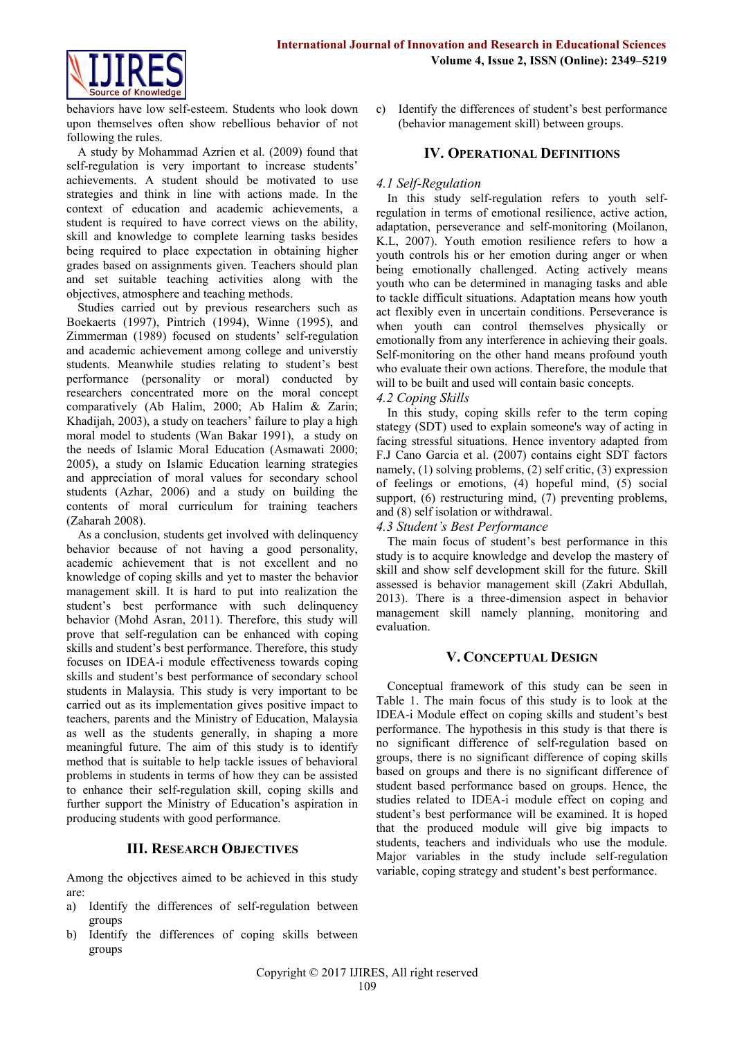

behaviors have low self-esteem. Students who look down upon themselves often show rebellious behavior of not following the rules.

A study by Mohammad Azrien et al. (2009) found that self-regulation is very important to increase students' achievements. A student should be motivated to use strategies and think in line with actions made. In the context of education and academic achievements, a student is required to have correct views on the ability, skill and knowledge to complete learning tasks besides being required to place expectation in obtaining higher grades based on assignments given. Teachers should plan and set suitable teaching activities along with the objectives, atmosphere and teaching methods.

Studies carried out by previous researchers such as Boekaerts (1997), Pintrich (1994), Winne (1995), and Zimmerman (1989) focused on students' self-regulation and academic achievement among college and universtiy students. Meanwhile studies relating to student's best performance (personality or moral) conducted by researchers concentrated more on the moral concept comparatively (Ab Halim, 2000; Ab Halim & Zarin; Khadijah, 2003), a study on teachers' failure to play a high moral model to students (Wan Bakar 1991), a study on the needs of Islamic Moral Education (Asmawati 2000; 2005), a study on Islamic Education learning strategies and appreciation of moral values for secondary school students (Azhar, 2006) and a study on building the contents of moral curriculum for training teachers (Zaharah 2008).

As a conclusion, students get involved with delinquency behavior because of not having a good personality, academic achievement that is not excellent and no knowledge of coping skills and yet to master the behavior management skill. It is hard to put into realization the student's best performance with such delinquency behavior (Mohd Asran, 2011). Therefore, this study will prove that self-regulation can be enhanced with coping skills and student's best performance. Therefore, this study focuses on IDEA-i module effectiveness towards coping skills and student's best performance of secondary school students in Malaysia. This study is very important to be carried out as its implementation gives positive impact to teachers, parents and the Ministry of Education, Malaysia as well as the students generally, in shaping a more meaningful future. The aim of this study is to identify method that is suitable to help tackle issues of behavioral problems in students in terms of how they can be assisted to enhance their self-regulation skill, coping skills and further support the Ministry of Education's aspiration in producing students with good performance.

# **III. RESEARCH OBJECTIVES**

Among the objectives aimed to be achieved in this study are:

- a) Identify the differences of self-regulation between groups
- b) Identify the differences of coping skills between groups

c) Identify the differences of student's best performance (behavior management skill) between groups.

# **IV. OPERATIONAL DEFINITIONS**

## *4.1 Self-Regulation*

In this study self-regulation refers to youth selfregulation in terms of emotional resilience, active action, adaptation, perseverance and self-monitoring (Moilanon, K.L, 2007). Youth emotion resilience refers to how a youth controls his or her emotion during anger or when being emotionally challenged. Acting actively means youth who can be determined in managing tasks and able to tackle difficult situations. Adaptation means how youth act flexibly even in uncertain conditions. Perseverance is when youth can control themselves physically or emotionally from any interference in achieving their goals. Self-monitoring on the other hand means profound youth who evaluate their own actions. Therefore, the module that will to be built and used will contain basic concepts.

## *4.2 Coping Skills*

In this study, coping skills refer to the term coping stategy (SDT) used to explain someone's way of acting in facing stressful situations. Hence inventory adapted from F.J Cano Garcia et al. (2007) contains eight SDT factors namely, (1) solving problems, (2) self critic, (3) expression of feelings or emotions, (4) hopeful mind, (5) social support, (6) restructuring mind, (7) preventing problems, and (8) self isolation or withdrawal.

*4.3 Student's Best Performance*

The main focus of student's best performance in this study is to acquire knowledge and develop the mastery of skill and show self development skill for the future. Skill assessed is behavior management skill (Zakri Abdullah, 2013). There is a three-dimension aspect in behavior management skill namely planning, monitoring and evaluation.

## **V. CONCEPTUAL DESIGN**

Conceptual framework of this study can be seen in Table 1. The main focus of this study is to look at the IDEA-i Module effect on coping skills and student's best performance. The hypothesis in this study is that there is no significant difference of self-regulation based on groups, there is no significant difference of coping skills based on groups and there is no significant difference of student based performance based on groups. Hence, the studies related to IDEA-i module effect on coping and student's best performance will be examined. It is hoped that the produced module will give big impacts to students, teachers and individuals who use the module. Major variables in the study include self-regulation variable, coping strategy and student's best performance.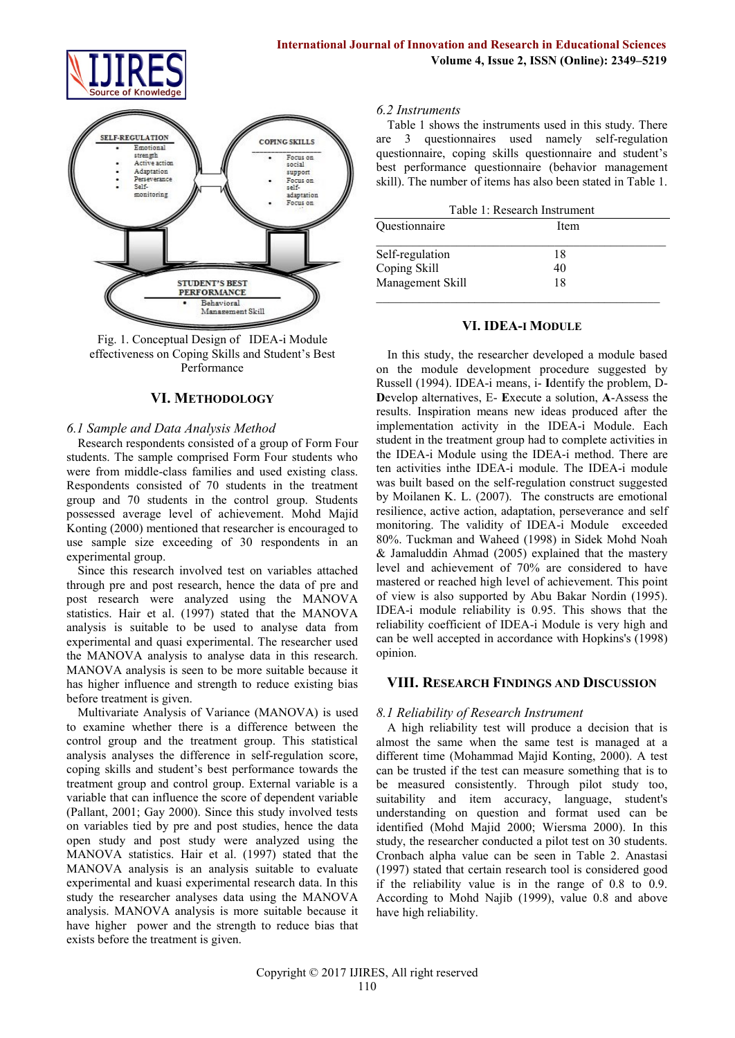



Fig. 1. Conceptual Design of IDEA-i Module effectiveness on Coping Skills and Student's Best Performance

## **VI. METHODOLOGY**

## *6.1 Sample and Data Analysis Method*

Research respondents consisted of a group of Form Four students. The sample comprised Form Four students who were from middle-class families and used existing class. Respondents consisted of 70 students in the treatment group and 70 students in the control group. Students possessed average level of achievement. Mohd Majid Konting (2000) mentioned that researcher is encouraged to use sample size exceeding of 30 respondents in an experimental group.

Since this research involved test on variables attached through pre and post research, hence the data of pre and post research were analyzed using the MANOVA statistics. Hair et al. (1997) stated that the MANOVA analysis is suitable to be used to analyse data from experimental and quasi experimental. The researcher used the MANOVA analysis to analyse data in this research. MANOVA analysis is seen to be more suitable because it has higher influence and strength to reduce existing bias before treatment is given.

Multivariate Analysis of Variance (MANOVA) is used to examine whether there is a difference between the control group and the treatment group. This statistical analysis analyses the difference in self-regulation score, coping skills and student's best performance towards the treatment group and control group. External variable is a variable that can influence the score of dependent variable (Pallant, 2001; Gay 2000). Since this study involved tests on variables tied by pre and post studies, hence the data open study and post study were analyzed using the MANOVA statistics. Hair et al. (1997) stated that the MANOVA analysis is an analysis suitable to evaluate experimental and kuasi experimental research data. In this study the researcher analyses data using the MANOVA analysis. MANOVA analysis is more suitable because it have higher power and the strength to reduce bias that exists before the treatment is given.

#### *6.2 Instruments*

Table 1 shows the instruments used in this study. There are 3 questionnaires used namely self-regulation questionnaire, coping skills questionnaire and student's best performance questionnaire (behavior management skill). The number of items has also been stated in Table 1.

| Table 1: Research Instrument |      |  |  |  |  |
|------------------------------|------|--|--|--|--|
| Ouestionnaire                | Item |  |  |  |  |
|                              |      |  |  |  |  |
| Self-regulation              | 18   |  |  |  |  |
| Coping Skill                 | 40   |  |  |  |  |
| Management Skill             | 18   |  |  |  |  |

#### **VI. IDEA-I MODULE**

In this study, the researcher developed a module based on the module development procedure suggested by Russell (1994). IDEA-i means, i- **I**dentify the problem, D-**D**evelop alternatives, E- **E**xecute a solution, **A**-Assess the results. Inspiration means new ideas produced after the implementation activity in the IDEA-i Module. Each student in the treatment group had to complete activities in the IDEA-i Module using the IDEA-i method. There are ten activities inthe IDEA-i module. The IDEA-i module was built based on the self-regulation construct suggested by Moilanen K. L. (2007). The constructs are emotional resilience, active action, adaptation, perseverance and self monitoring. The validity of IDEA-i Module exceeded 80%. Tuckman and Waheed (1998) in Sidek Mohd Noah & Jamaluddin Ahmad (2005) explained that the mastery level and achievement of 70% are considered to have mastered or reached high level of achievement. This point of view is also supported by Abu Bakar Nordin (1995). IDEA-i module reliability is 0.95. This shows that the reliability coefficient of IDEA-i Module is very high and can be well accepted in accordance with Hopkins's (1998) opinion.

## **VIII. RESEARCH FINDINGS AND DISCUSSION**

#### *8.1 Reliability of Research Instrument*

A high reliability test will produce a decision that is almost the same when the same test is managed at a different time (Mohammad Majid Konting, 2000). A test can be trusted if the test can measure something that is to be measured consistently. Through pilot study too, suitability and item accuracy, language, student's understanding on question and format used can be identified (Mohd Majid 2000; Wiersma 2000). In this study, the researcher conducted a pilot test on 30 students. Cronbach alpha value can be seen in Table 2. Anastasi (1997) stated that certain research tool is considered good if the reliability value is in the range of 0.8 to 0.9. According to Mohd Najib (1999), value 0.8 and above have high reliability.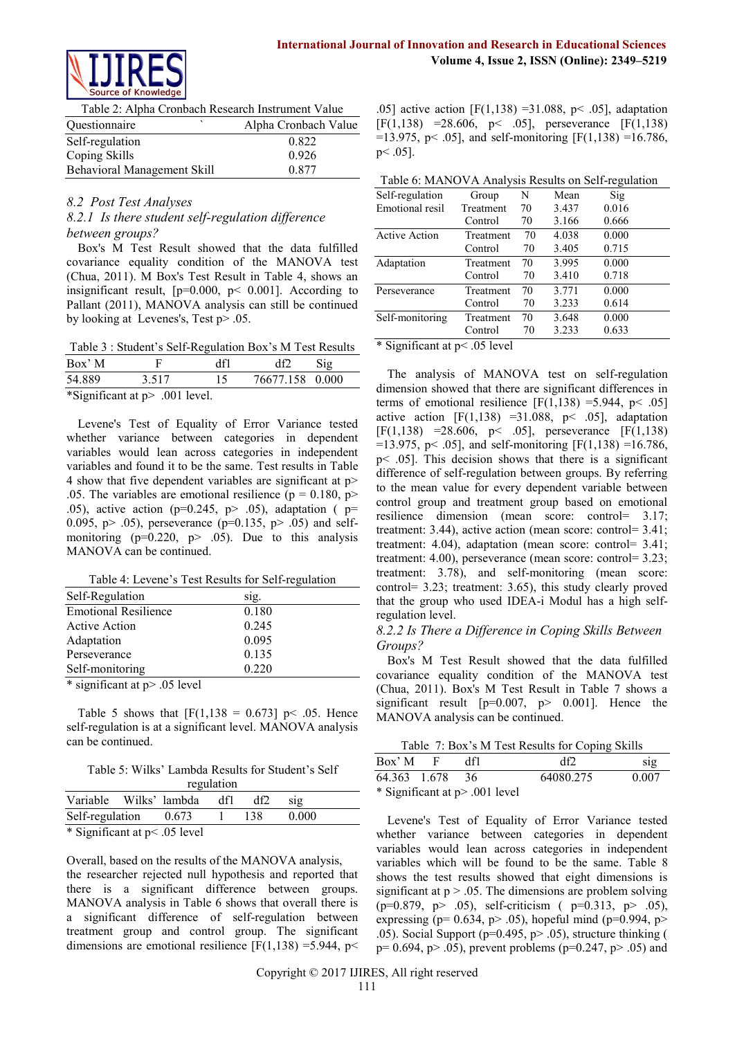

Table 2: Alpha Cronbach Research Instrument Value

| <i><u><b>Ouestionnaire</b></u></i> | Alpha Cronbach Value |
|------------------------------------|----------------------|
| Self-regulation                    | 0.822                |
| Coping Skills                      | 0.926                |
| Behavioral Management Skill        | 0.877                |

## *8.2 Post Test Analyses*

# *8.2.1 Is there student self-regulation difference between groups?*

Box's M Test Result showed that the data fulfilled covariance equality condition of the MANOVA test (Chua, 2011). M Box's Test Result in Table 4, shows an insignificant result,  $[p=0.000, p< 0.001]$ . According to Pallant (2011), MANOVA analysis can still be continued by looking at Levenes's, Test p> .05.

Table 3 : Student's Self-Regulation Box's M Test Results

|        | .     |     |                 |     |  |
|--------|-------|-----|-----------------|-----|--|
| 54.889 | 3.517 | -15 | 76677.158 0.000 |     |  |
| Box' M |       |     |                 | S12 |  |

\*Significant at p> .001 level.

Levene's Test of Equality of Error Variance tested whether variance between categories in dependent variables would lean across categories in independent variables and found it to be the same. Test results in Table 4 show that five dependent variables are significant at p> .05. The variables are emotional resilience ( $p = 0.180$ ,  $p >$ .05), active action ( $p=0.245$ ,  $p>0.5$ ), adaptation ( $p=$ 0.095, p > .05), perseverance (p=0.135, p > .05) and selfmonitoring ( $p=0.220$ ,  $p> 0.05$ ). Due to this analysis MANOVA can be continued.

Table 4: Levene's Test Results for Self-regulation

| Self-Regulation               | sig.  |
|-------------------------------|-------|
| <b>Emotional Resilience</b>   | 0.180 |
| <b>Active Action</b>          | 0.245 |
| Adaptation                    | 0.095 |
| Perseverance                  | 0.135 |
| Self-monitoring               | 0.220 |
| * significant at p> .05 level |       |

Table 5 shows that  $[F(1,138 = 0.673] \text{ p} < .05$ . Hence self-regulation is at a significant level. MANOVA analysis can be continued.

Table 5: Wilks' Lambda Results for Student's Self

| regulation             |  |       |     |     |       |  |
|------------------------|--|-------|-----|-----|-------|--|
| Variable Wilks' lambda |  |       | df1 |     | S12   |  |
| Self-regulation        |  | 0.673 |     | 138 | 0.000 |  |
|                        |  |       |     |     |       |  |

\* Significant at p< .05 level

Overall, based on the results of the MANOVA analysis, the researcher rejected null hypothesis and reported that there is a significant difference between groups. MANOVA analysis in Table 6 shows that overall there is a significant difference of self-regulation between treatment group and control group. The significant dimensions are emotional resilience  $[F(1,138) = 5.944, p<$ 

.05] active action  $[F(1,138) = 31.088, p < .05]$ , adaptation [F(1,138) =28.606, p< .05], perseverance [F(1,138) =13.975, p< .05], and self-monitoring  $[F(1,138) = 16.786]$ , p< .05].

| Self-regulation        | Group             | N  | Mean  | Sig   |  |
|------------------------|-------------------|----|-------|-------|--|
| Emotional resil        | Treatment         | 70 | 3.437 | 0.016 |  |
|                        | Control           | 70 | 3.166 | 0.666 |  |
| <b>Active Action</b>   | Treatment         | 70 | 4.038 | 0.000 |  |
|                        | Control           | 70 | 3.405 | 0.715 |  |
| Adaptation             | Treatment         | 70 | 3.995 | 0.000 |  |
|                        | Control           | 70 | 3.410 | 0.718 |  |
| Perseverance           | Treatment         | 70 | 3.771 | 0.000 |  |
|                        | Control           | 70 | 3.233 | 0.614 |  |
| Self-monitoring        | Treatment         | 70 | 3.648 | 0.000 |  |
|                        | Control           | 70 | 3.233 | 0.633 |  |
| $\cdot$ $\sim$<br>ີ∽ ~ | $\cdots$ $\cdots$ |    |       |       |  |

\* Significant at p< .05 level

The analysis of MANOVA test on self-regulation dimension showed that there are significant differences in terms of emotional resilience  $[F(1,138) = 5.944, p < .05]$ active action  $[F(1,138) = 31.088, p< .05]$ , adaptation [F(1,138) =28.606, p < .05], perseverance [F(1,138)  $=$ 13.975, p < .05], and self-monitoring [F(1,138) = 16.786, p< .05]. This decision shows that there is a significant difference of self-regulation between groups. By referring to the mean value for every dependent variable between control group and treatment group based on emotional resilience dimension (mean score: control= 3.17; treatment: 3.44), active action (mean score: control= 3.41; treatment: 4.04), adaptation (mean score: control= 3.41; treatment: 4.00), perseverance (mean score: control= 3.23; treatment: 3.78), and self-monitoring (mean score: control= 3.23; treatment: 3.65), this study clearly proved that the group who used IDEA-i Modul has a high selfregulation level.

## *8.2.2 Is There a Difference in Coping Skills Between Groups?*

Box's M Test Result showed that the data fulfilled covariance equality condition of the MANOVA test (Chua, 2011). Box's M Test Result in Table 7 shows a significant result  $[p=0.007, p> 0.001]$ . Hence the MANOVA analysis can be continued.

Table 7: Box's M Test Results for Coping Skills

| Box' M       | df1                            | df2       | SIg   |
|--------------|--------------------------------|-----------|-------|
| 64.363 1.678 | 36                             | 64080.275 | 0.007 |
|              | * Significant at p> .001 level |           |       |

Levene's Test of Equality of Error Variance tested whether variance between categories in dependent variables would lean across categories in independent variables which will be found to be the same. Table 8 shows the test results showed that eight dimensions is significant at  $p > 0.05$ . The dimensions are problem solving  $(p=0.879, p> .05)$ , self-criticism ( $p=0.313, p> .05$ ), expressing ( $p= 0.634$ ,  $p> .05$ ), hopeful mind ( $p=0.994$ ,  $p>$ .05). Social Support ( $p=0.495$ ,  $p>0.05$ ), structure thinking (  $p= 0.694$ ,  $p> .05$ ), prevent problems ( $p=0.247$ ,  $p> .05$ ) and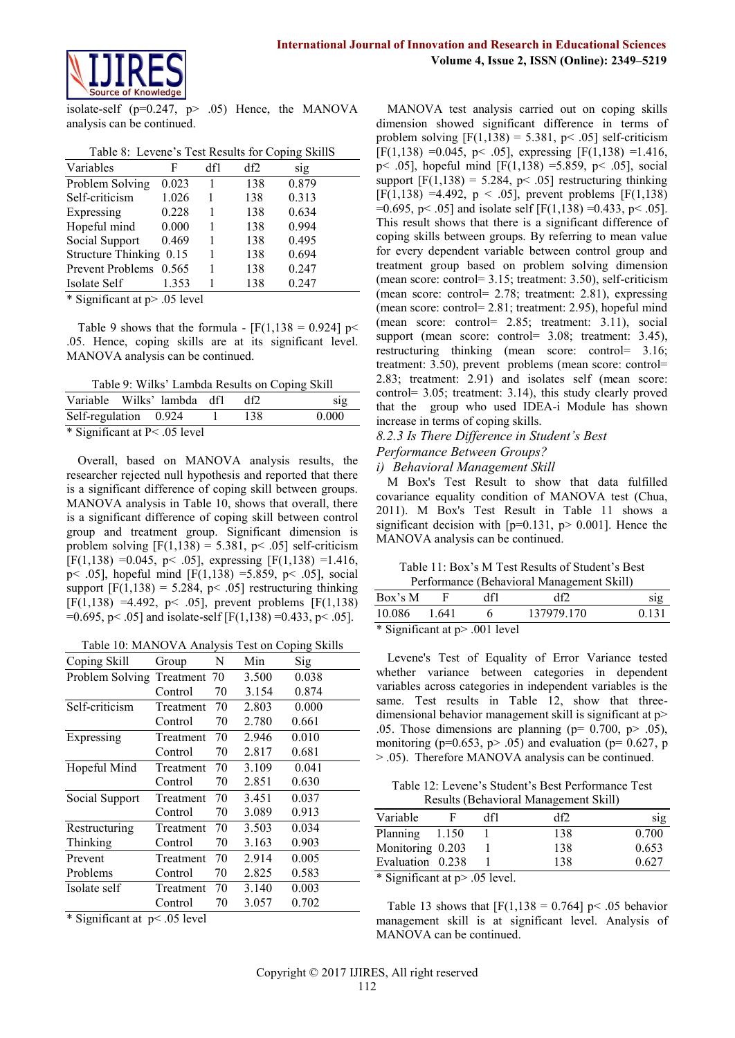

isolate-self ( $p=0.247$ ,  $p> .05$ ) Hence, the MANOVA analysis can be continued.

|  |  | Table 8: Levene's Test Results for Coping SkillS |  |  |
|--|--|--------------------------------------------------|--|--|
|--|--|--------------------------------------------------|--|--|

| F                       | df1 | df2 | sig   |  |
|-------------------------|-----|-----|-------|--|
| 0.023                   |     | 138 | 0.879 |  |
| 1.026                   |     | 138 | 0.313 |  |
| 0.228                   |     | 138 | 0.634 |  |
| 0.000                   |     | 138 | 0.994 |  |
| 0.469                   |     | 138 | 0.495 |  |
| Structure Thinking 0.15 |     | 138 | 0.694 |  |
| Prevent Problems 0.565  |     | 138 | 0.247 |  |
| 1.353                   |     | 138 | 0.247 |  |
|                         |     |     |       |  |

\* Significant at p> .05 level

Table 9 shows that the formula -  $[F(1,138 = 0.924] \text{ p}$ .05. Hence, coping skills are at its significant level. MANOVA analysis can be continued.

Table 9: Wilks' Lambda Results on Coping Skill

| Variable Wilks' lambda dfl        |  |     | S1 <sub>2</sub> |
|-----------------------------------|--|-----|-----------------|
| Self-regulation 0.924             |  | 138 | 0.000           |
| $*$ Significant at P $<$ 05 level |  |     |                 |

Significant at  $P \leq .05$  level

Overall, based on MANOVA analysis results, the researcher rejected null hypothesis and reported that there is a significant difference of coping skill between groups. MANOVA analysis in Table 10, shows that overall, there is a significant difference of coping skill between control group and treatment group. Significant dimension is problem solving  $[F(1,138) = 5.381, p < .05]$  self-criticism  $[F(1,138) = 0.045, p < .05]$ , expressing  $[F(1,138) = 1.416,$ p< .05], hopeful mind [F(1,138) =5.859, p< .05], social support  $[F(1,138) = 5.284, p< .05]$  restructuring thinking [F(1,138) =4.492, p< .05], prevent problems [F(1,138)  $=0.695$ , p < .05] and isolate-self [F(1,138) =0.433, p < .05].

Table 10: MANOVA Analysis Test on Coping Skills

| Coping Skill    | Group        | N  | Min   | Sig   |
|-----------------|--------------|----|-------|-------|
| Problem Solving | Treatment 70 |    | 3.500 | 0.038 |
|                 | Control      | 70 | 3.154 | 0.874 |
| Self-criticism  | Treatment    | 70 | 2.803 | 0.000 |
|                 | Control      | 70 | 2.780 | 0.661 |
| Expressing      | Treatment    | 70 | 2.946 | 0.010 |
|                 | Control      | 70 | 2.817 | 0.681 |
| Hopeful Mind    | Treatment    | 70 | 3.109 | 0.041 |
|                 | Control      | 70 | 2.851 | 0.630 |
| Social Support  | Treatment    | 70 | 3.451 | 0.037 |
|                 | Control      | 70 | 3.089 | 0.913 |
| Restructuring   | Treatment    | 70 | 3.503 | 0.034 |
| Thinking        | Control      | 70 | 3.163 | 0.903 |
| Prevent         | Treatment    | 70 | 2.914 | 0.005 |
| Problems        | Control      | 70 | 2.825 | 0.583 |
| Isolate self    | Treatment    | 70 | 3.140 | 0.003 |
|                 | Control      | 70 | 3.057 | 0.702 |
|                 |              |    |       |       |

\* Significant at p< .05 level

MANOVA test analysis carried out on coping skills dimension showed significant difference in terms of problem solving  $[F(1,138) = 5.381, p < .05]$  self-criticism  $[F(1,138) = 0.045, p < .05]$ , expressing  $[F(1,138) = 1.416,$ p< .05], hopeful mind [F(1,138) =5.859, p< .05], social support  $[F(1,138) = 5.284, p< .05]$  restructuring thinking [F(1,138) =4.492,  $p < .05$ ], prevent problems [F(1,138)  $=0.695$ , p < .05] and isolate self [F(1,138) =0.433, p < .05]. This result shows that there is a significant difference of coping skills between groups. By referring to mean value for every dependent variable between control group and treatment group based on problem solving dimension (mean score: control= 3.15; treatment: 3.50), self-criticism (mean score: control= 2.78; treatment: 2.81), expressing (mean score: control= 2.81; treatment: 2.95), hopeful mind (mean score: control= 2.85; treatment: 3.11), social support (mean score: control= 3.08; treatment: 3.45), restructuring thinking (mean score: control= 3.16; treatment: 3.50), prevent problems (mean score: control= 2.83; treatment: 2.91) and isolates self (mean score: control= 3.05; treatment: 3.14), this study clearly proved that the group who used IDEA-i Module has shown increase in terms of coping skills.

## *8.2.3 Is There Difference in Student's Best*

## *Performance Between Groups?*

#### *i) Behavioral Management Skill*

M Box's Test Result to show that data fulfilled covariance equality condition of MANOVA test (Chua, 2011). M Box's Test Result in Table 11 shows a significant decision with  $[p=0.131, p> 0.001]$ . Hence the MANOVA analysis can be continued.

| Table 11: Box's M Test Results of Student's Best |
|--------------------------------------------------|
| Performance (Rehavioral Management Skill)        |

|         |       |                                                               | Performance (Behavioral Management Skill) |       |
|---------|-------|---------------------------------------------------------------|-------------------------------------------|-------|
| Box's M |       | df1                                                           | df2                                       | sig   |
| 10.086  | 1.641 |                                                               | 137979.170                                | 0.131 |
|         |       | $\star$ C <sub>ran</sub> iC <sub>cantat</sub> $\sim$ 001 land |                                           |       |

\* Significant at p> .001 level

Levene's Test of Equality of Error Variance tested whether variance between categories in dependent variables across categories in independent variables is the same. Test results in Table 12, show that threedimensional behavior management skill is significant at p> .05. Those dimensions are planning ( $p= 0.700$ ,  $p> .05$ ), monitoring ( $p=0.653$ ,  $p>0.05$ ) and evaluation ( $p=0.627$ , p > .05). Therefore MANOVA analysis can be continued.

Table 12: Levene's Student's Best Performance Test Results (Behavioral Management Skill)

| Variable                                    | df1 | df2 | SIg   |
|---------------------------------------------|-----|-----|-------|
| Planning 1.150                              |     | 138 | 0.700 |
| Monitoring 0.203                            |     | 138 | 0.653 |
| Evaluation 0.238                            |     | 138 | 0.627 |
| $\frac{*}{*}$ Cignificant at $n > 05$ level |     |     |       |

Significant at  $p$  > .05 level.

Table 13 shows that  $[F(1,138 = 0.764] \text{ p} < .05 \text{ behavior}$ management skill is at significant level. Analysis of MANOVA can be continued.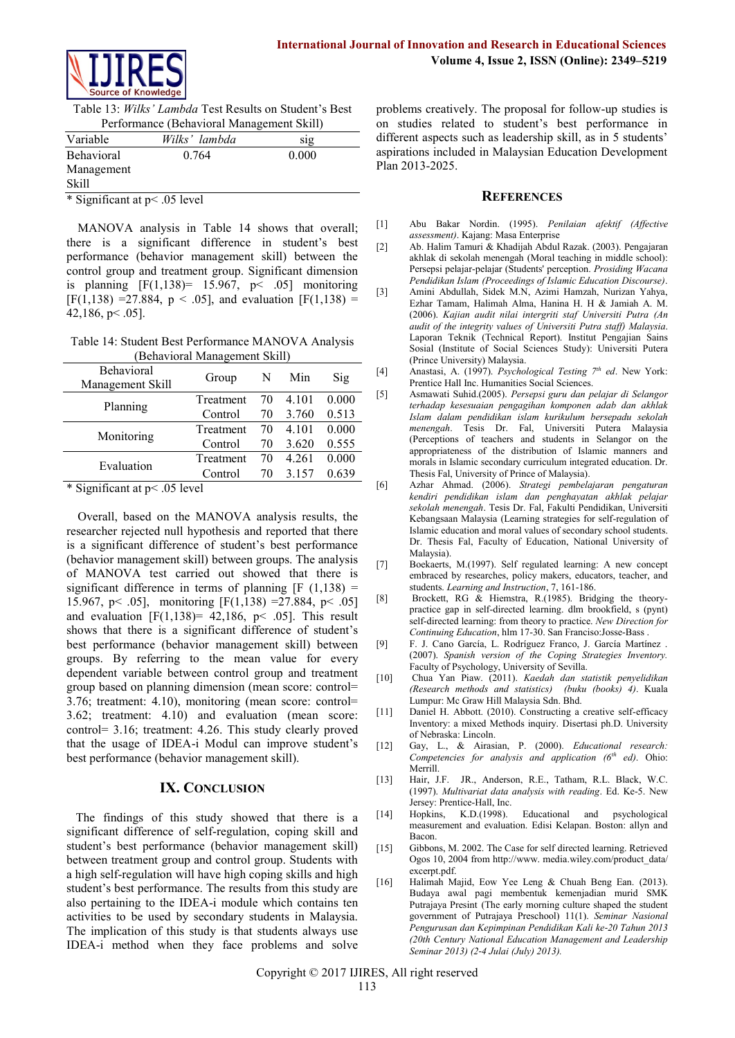

Table 13: *Wilks' Lambda* Test Results on Student's Best Performance (Behavioral Management Skill)

| Variable                      | Wilks' lambda | S12   |  |  |  |
|-------------------------------|---------------|-------|--|--|--|
| <b>Behavioral</b>             | 0.764         | 0.000 |  |  |  |
| Management                    |               |       |  |  |  |
| Skill                         |               |       |  |  |  |
| * Significant at p< .05 level |               |       |  |  |  |

MANOVA analysis in Table 14 shows that overall; there is a significant difference in student's best performance (behavior management skill) between the control group and treatment group. Significant dimension is planning  $[F(1,138) = 15.967, p < .05]$  monitoring  $[F(1,138) = 27.884, p < .05]$ , and evaluation  $[F(1,138) =$  $42,186, p \leq .05$ ].

Table 14: Student Best Performance MANOVA Analysis (Behavioral Management Skill)

| Behavioral<br>Management Skill | Group     | N  | Min     | Sig   |
|--------------------------------|-----------|----|---------|-------|
|                                | Treatment | 70 | 4.101   | 0.000 |
| Planning                       | Control   | 70 | 3.760   | 0.513 |
|                                | Treatment | 70 | 4 1 0 1 | 0.000 |
| Monitoring                     | Control   | 70 | 3.620   | 0.555 |
|                                | Treatment | 70 | 4 2 6 1 | 0.000 |
| Evaluation                     | Control   | 70 | 3.157   | 0.639 |
|                                |           |    |         |       |

\* Significant at p< .05 level

Overall, based on the MANOVA analysis results, the researcher rejected null hypothesis and reported that there is a significant difference of student's best performance (behavior management skill) between groups. The analysis of MANOVA test carried out showed that there is significant difference in terms of planning  $[F (1,138) =$ 15.967, p< .05], monitoring [F(1,138) =27.884, p< .05] and evaluation  $[F(1,138) = 42,186, p< .05]$ . This result shows that there is a significant difference of student's best performance (behavior management skill) between groups. By referring to the mean value for every dependent variable between control group and treatment group based on planning dimension (mean score: control= 3.76; treatment: 4.10), monitoring (mean score: control= 3.62; treatment: 4.10) and evaluation (mean score: control= 3.16; treatment: 4.26. This study clearly proved that the usage of IDEA-i Modul can improve student's best performance (behavior management skill).

# **IX. CONCLUSION**

 The findings of this study showed that there is a significant difference of self-regulation, coping skill and student's best performance (behavior management skill) between treatment group and control group. Students with a high self-regulation will have high coping skills and high student's best performance. The results from this study are also pertaining to the IDEA-i module which contains ten activities to be used by secondary students in Malaysia. The implication of this study is that students always use IDEA-i method when they face problems and solve problems creatively. The proposal for follow-up studies is on studies related to student's best performance in different aspects such as leadership skill, as in 5 students' aspirations included in Malaysian Education Development Plan 2013-2025.

## **REFERENCES**

- [1] Abu Bakar Nordin. (1995). *Penilaian afektif (Affective assessment)*. Kajang: Masa Enterprise
- [2] Ab. Halim Tamuri & Khadijah Abdul Razak. (2003). Pengajaran akhlak di sekolah menengah (Moral teaching in middle school): Persepsi pelajar-pelajar (Students' perception. *Prosiding Wacana Pendidikan Islam (Proceedings of Islamic Education Discourse)*.
- [3] Amini Abdullah, Sidek M.N, Azimi Hamzah, Nurizan Yahya, Ezhar Tamam, Halimah Alma, Hanina H. H & Jamiah A. M. (2006). *Kajian audit nilai intergriti staf Universiti Putra (An audit of the integrity values of Universiti Putra staff) Malaysia*. Laporan Teknik (Technical Report). Institut Pengajian Sains Sosial (Institute of Social Sciences Study): Universiti Putera (Prince University) Malaysia.
- [4] Anastasi, A. (1997). *Psychological Testing 7th ed*. New York: Prentice Hall Inc. Humanities Social Sciences.
- [5] Asmawati Suhid.(2005). *Persepsi guru dan pelajar di Selangor terhadap kesesuaian pengagihan komponen adab dan akhlak Islam dalam pendidikan islam kurikulum bersepadu sekolah menengah*. Tesis Dr. Fal, Universiti Putera Malaysia (Perceptions of teachers and students in Selangor on the appropriateness of the distribution of Islamic manners and morals in Islamic secondary curriculum integrated education. Dr. Thesis Fal, University of Prince of Malaysia).
- [6] Azhar Ahmad. (2006). *Strategi pembelajaran pengaturan kendiri pendidikan islam dan penghayatan akhlak pelajar sekolah menengah*. Tesis Dr. Fal, Fakulti Pendidikan, Universiti Kebangsaan Malaysia (Learning strategies for self-regulation of Islamic education and moral values of secondary school students. Dr. Thesis Fal, Faculty of Education, National University of Malaysia).
- [7] Boekaerts, M.(1997). Self regulated learning: A new concept embraced by researches, policy makers, educators, teacher, and students. *Learning and Instruction*, 7, 161-186.
- [8] Brockett, RG & Hiemstra, R.(1985). Bridging the theorypractice gap in self-directed learning. dlm brookfield, s (pynt) self-directed learning: from theory to practice. *New Direction for Continuing Education*, hlm 17-30. San Franciso:Josse-Bass .
- [9] F. J. Cano García, L. Rodríguez Franco, J. García Martínez . (2007). *Spanish version of the Coping Strategies Inventory.*  Faculty of Psychology, University of Sevilla.
- [10] Chua Yan Piaw. (2011). *Kaedah dan statistik penyelidikan (Research methods and statistics) (buku (books) 4)*. Kuala Lumpur: Mc Graw Hill Malaysia Sdn. Bhd.
- [11] Daniel H. Abbott. (2010). Constructing a creative self-efficacy Inventory: a mixed Methods inquiry. Disertasi ph.D. University of Nebraska: Lincoln.
- [12] Gay, L., & Airasian, P. (2000). *Educational research: Competencies for analysis and application (6th ed)*. Ohio: Merrill.
- [13] Hair, J.F. JR., Anderson, R.E., Tatham, R.L. Black, W.C. (1997). *Multivariat data analysis with reading*. Ed. Ke-5. New Jersey: Prentice-Hall, Inc.
- [14] Hopkins, K.D.(1998). Educational and psychological measurement and evaluation. Edisi Kelapan. Boston: allyn and Bacon.
- [15] Gibbons, M. 2002. The Case for self directed learning. Retrieved Ogos 10, 2004 fro[m http://www.](http://www/) media.wiley.com/product\_data/ excerpt.pdf.
- [16] Halimah Majid, Eow Yee Leng & Chuah Beng Ean. (2013). Budaya awal pagi membentuk kemenjadian murid SMK Putrajaya Presint (The early morning culture shaped the student government of Putrajaya Preschool) 11(1). *Seminar Nasional Pengurusan dan Kepimpinan Pendidikan Kali ke‐20 Tahun 2013 (20th Century National Education Management and Leadership Seminar 2013) (2‐4 Julai (July) 2013).*